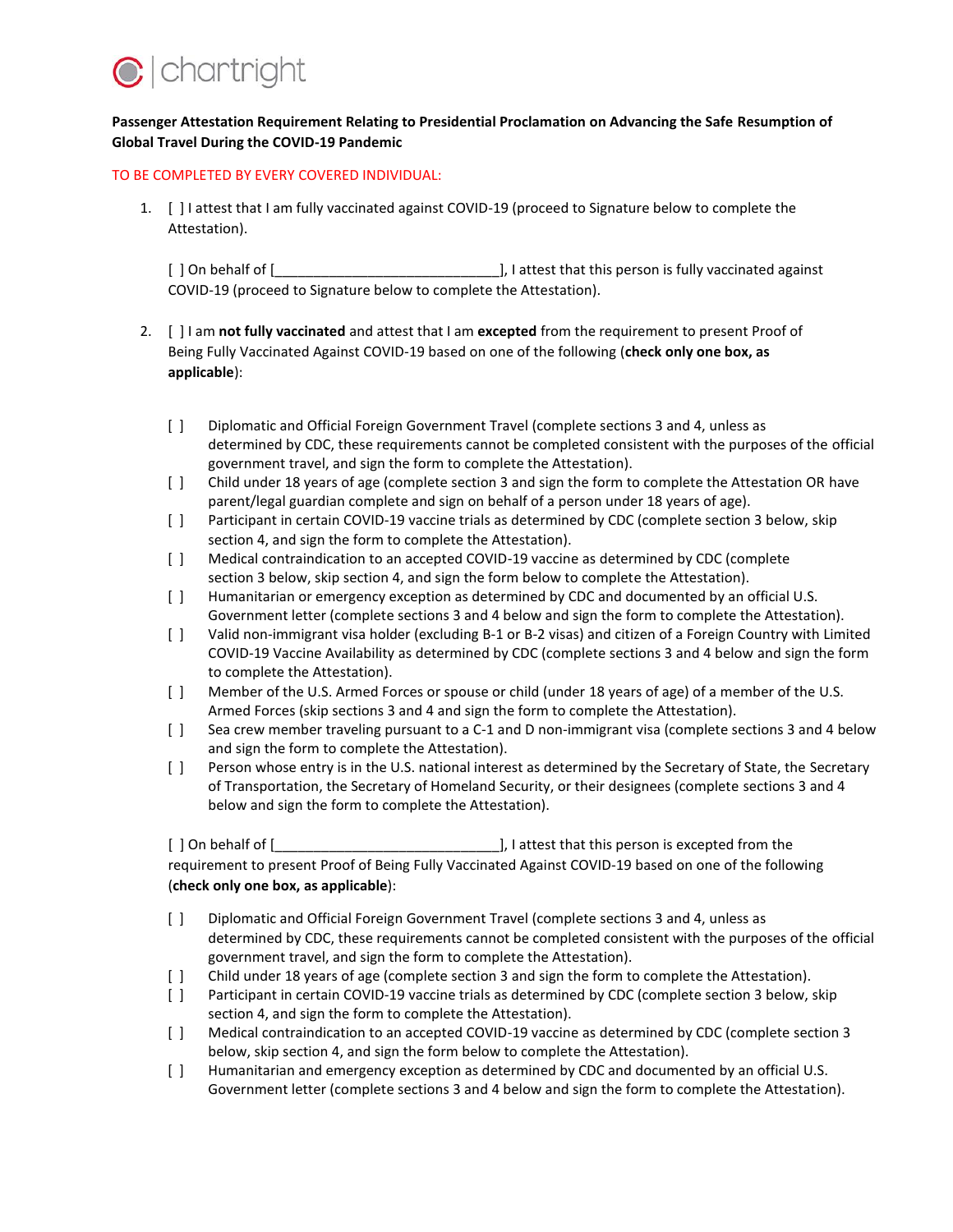

## **Passenger Attestation Requirement Relating to Presidential Proclamation on Advancing the Safe Resumption of Global Travel During the COVID-19 Pandemic**

## TO BE COMPLETED BY EVERY COVERED INDIVIDUAL:

1. [ ] I attest that I am fully vaccinated against COVID-19 (proceed to Signature below to complete the Attestation).

[ ] On behalf of [\_\_\_\_\_\_\_\_\_\_\_\_\_\_\_\_\_\_\_\_\_\_\_\_\_\_\_\_\_], I attest that this person is fully vaccinated against COVID-19 (proceed to Signature below to complete the Attestation).

- 2. [ ] I am **not fully vaccinated** and attest that I am **excepted** from the requirement to present Proof of Being Fully Vaccinated Against COVID-19 based on one of the following (**check only one box, as applicable**):
	- [ ] Diplomatic and Official Foreign Government Travel (complete sections 3 and 4, unless as determined by CDC, these requirements cannot be completed consistent with the purposes of the official government travel, and sign the form to complete the Attestation).
	- [ ] Child under 18 years of age (complete section 3 and sign the form to complete the Attestation OR have parent/legal guardian complete and sign on behalf of a person under 18 years of age).
	- [ ] Participant in certain COVID-19 vaccine trials as determined by CDC (complete section 3 below, skip section 4, and sign the form to complete the Attestation).
	- [ ] Medical contraindication to an accepted COVID-19 vaccine as determined by CDC (complete section 3 below, skip section 4, and sign the form below to complete the Attestation).
	- [ ] Humanitarian or emergency exception as determined by CDC and documented by an official U.S. Government letter (complete sections 3 and 4 below and sign the form to complete the Attestation).
	- [ ] Valid non-immigrant visa holder (excluding B-1 or B-2 visas) and citizen of a Foreign Country with Limited COVID-19 Vaccine Availability as determined by CDC (complete sections 3 and 4 below and sign the form to complete the Attestation).
	- [ ] Member of the U.S. Armed Forces or spouse or child (under 18 years of age) of a member of the U.S. Armed Forces (skip sections 3 and 4 and sign the form to complete the Attestation).
	- [ ] Sea crew member traveling pursuant to a C-1 and D non-immigrant visa (complete sections 3 and 4 below and sign the form to complete the Attestation).
	- [ ] Person whose entry is in the U.S. national interest as determined by the Secretary of State, the Secretary of Transportation, the Secretary of Homeland Security, or their designees (complete sections 3 and 4 below and sign the form to complete the Attestation).

[ ] On behalf of [\_\_\_\_\_\_\_\_\_\_\_\_\_\_\_\_\_\_\_\_\_\_\_\_\_\_\_\_\_], I attest that this person is excepted from the requirement to present Proof of Being Fully Vaccinated Against COVID-19 based on one of the following (**check only one box, as applicable**):

- [ ] Diplomatic and Official Foreign Government Travel (complete sections 3 and 4, unless as determined by CDC, these requirements cannot be completed consistent with the purposes of the official government travel, and sign the form to complete the Attestation).
- [ ] Child under 18 years of age (complete section 3 and sign the form to complete the Attestation).
- [ ] Participant in certain COVID-19 vaccine trials as determined by CDC (complete section 3 below, skip section 4, and sign the form to complete the Attestation).
- [ ] Medical contraindication to an accepted COVID-19 vaccine as determined by CDC (complete section 3 below, skip section 4, and sign the form below to complete the Attestation).
- [ ] Humanitarian and emergency exception as determined by CDC and documented by an official U.S. Government letter (complete sections 3 and 4 below and sign the form to complete the Attestation).